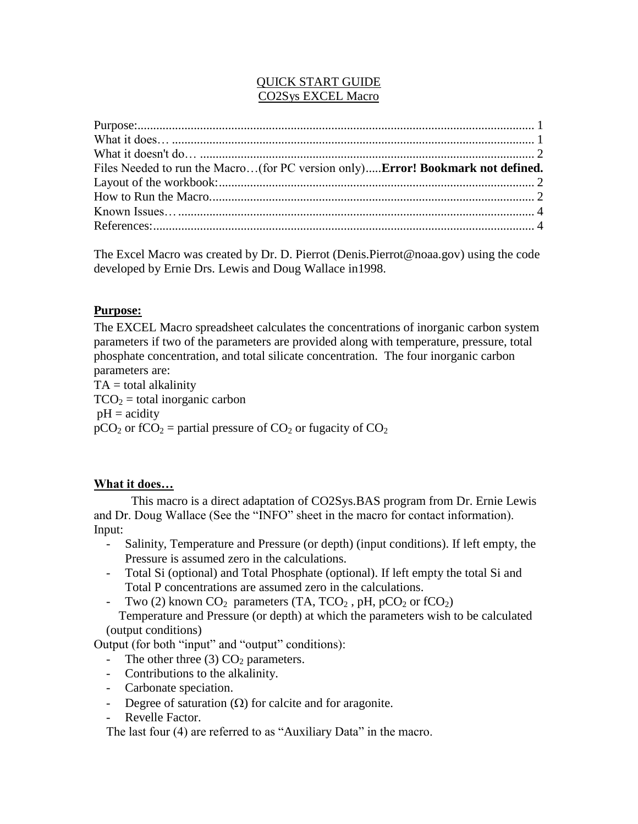# QUICK START GUIDE CO2Sys EXCEL Macro

| Files Needed to run the Macro(for PC version only) <b>Error! Bookmark not defined.</b> |  |
|----------------------------------------------------------------------------------------|--|
|                                                                                        |  |
|                                                                                        |  |
|                                                                                        |  |
|                                                                                        |  |

The Excel Macro was created by Dr. D. Pierrot (Denis.Pierrot@noaa.gov) using the code developed by Ernie Drs. Lewis and Doug Wallace in1998.

### <span id="page-0-0"></span>**Purpose:**

The EXCEL Macro spreadsheet calculates the concentrations of inorganic carbon system parameters if two of the parameters are provided along with temperature, pressure, total phosphate concentration, and total silicate concentration. The four inorganic carbon parameters are:

 $TA = total$  alkalinity  $TCO<sub>2</sub> =$  total inorganic carbon  $pH = \text{acidity}$  $pCO_2$  or fCO<sub>2</sub> = partial pressure of CO<sub>2</sub> or fugacity of CO<sub>2</sub>

# <span id="page-0-1"></span>**What it does…**

This macro is a direct adaptation of CO2Sys.BAS program from Dr. Ernie Lewis and Dr. Doug Wallace (See the "INFO" sheet in the macro for contact information). Input:

- Salinity, Temperature and Pressure (or depth) (input conditions). If left empty, the Pressure is assumed zero in the calculations.
- Total Si (optional) and Total Phosphate (optional). If left empty the total Si and Total P concentrations are assumed zero in the calculations.
- Two (2) known  $CO_2$  parameters (TA, TCO<sub>2</sub>, pH, pCO<sub>2</sub> or fCO<sub>2</sub>) Temperature and Pressure (or depth) at which the parameters wish to be calculated (output conditions)

Output (for both "input" and "output" conditions):

- The other three (3)  $CO<sub>2</sub>$  parameters.
- Contributions to the alkalinity.
- Carbonate speciation.
- Degree of saturation  $(\Omega)$  for calcite and for aragonite.
- Revelle Factor.

The last four (4) are referred to as "Auxiliary Data" in the macro.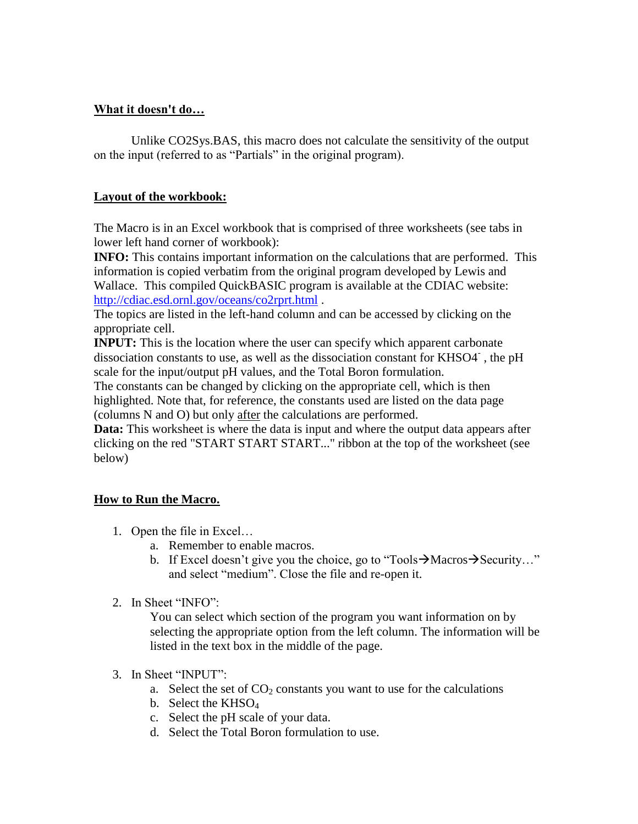### <span id="page-1-0"></span>**What it doesn't do…**

Unlike CO2Sys.BAS, this macro does not calculate the sensitivity of the output on the input (referred to as "Partials" in the original program).

### <span id="page-1-1"></span>**Layout of the workbook:**

The Macro is in an Excel workbook that is comprised of three worksheets (see tabs in lower left hand corner of workbook):

**INFO:** This contains important information on the calculations that are performed. This information is copied verbatim from the original program developed by Lewis and Wallace. This compiled QuickBASIC program is available at the CDIAC website: <http://cdiac.esd.ornl.gov/oceans/co2rprt.html> .

The topics are listed in the left-hand column and can be accessed by clicking on the appropriate cell.

**INPUT:** This is the location where the user can specify which apparent carbonate dissociation constants to use, as well as the dissociation constant for KHSO4 , the pH scale for the input/output pH values, and the Total Boron formulation.

The constants can be changed by clicking on the appropriate cell, which is then highlighted. Note that, for reference, the constants used are listed on the data page (columns N and O) but only after the calculations are performed.

**Data:** This worksheet is where the data is input and where the output data appears after clicking on the red "START START START..." ribbon at the top of the worksheet (see below)

# <span id="page-1-2"></span>**How to Run the Macro.**

- 1. Open the file in Excel…
	- a. Remember to enable macros.
		- b. If Excel doesn't give you the choice, go to "Tools  $\rightarrow$  Macros  $\rightarrow$  Security..." and select "medium". Close the file and re-open it.
- 2. In Sheet "INFO":

You can select which section of the program you want information on by selecting the appropriate option from the left column. The information will be listed in the text box in the middle of the page.

- 3. In Sheet "INPUT":
	- a. Select the set of  $CO<sub>2</sub>$  constants you want to use for the calculations
	- b. Select the  $KHSO<sub>4</sub>$
	- c. Select the pH scale of your data.
	- d. Select the Total Boron formulation to use.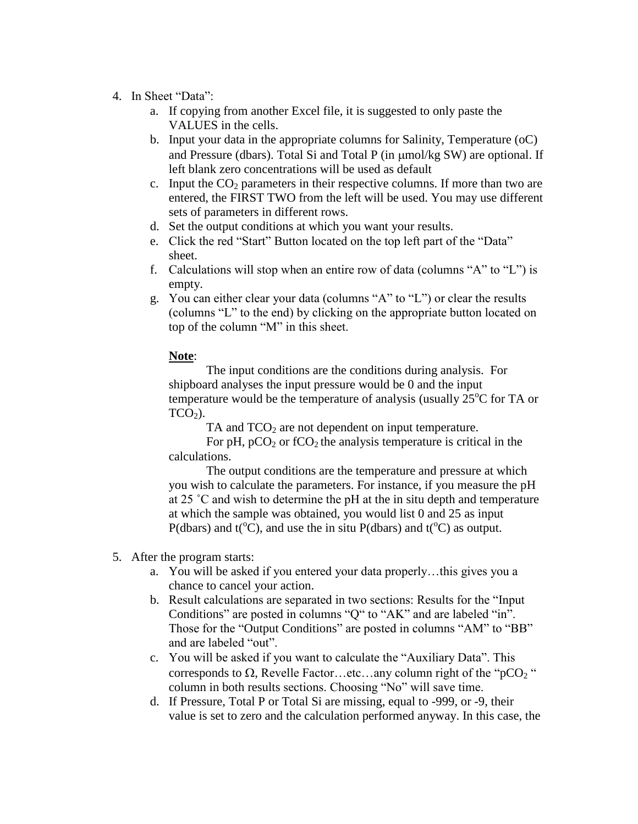- 4. In Sheet "Data":
	- a. If copying from another Excel file, it is suggested to only paste the VALUES in the cells.
	- b. Input your data in the appropriate columns for Salinity, Temperature (oC) and Pressure (dbars). Total Si and Total P (in  $\mu$ mol/kg SW) are optional. If left blank zero concentrations will be used as default
	- c. Input the  $CO<sub>2</sub>$  parameters in their respective columns. If more than two are entered, the FIRST TWO from the left will be used. You may use different sets of parameters in different rows.
	- d. Set the output conditions at which you want your results.
	- e. Click the red "Start" Button located on the top left part of the "Data" sheet.
	- f. Calculations will stop when an entire row of data (columns "A" to "L") is empty.
	- g. You can either clear your data (columns "A" to "L") or clear the results (columns "L" to the end) by clicking on the appropriate button located on top of the column "M" in this sheet.

### **Note**:

The input conditions are the conditions during analysis. For shipboard analyses the input pressure would be 0 and the input temperature would be the temperature of analysis (usually  $25^{\circ}$ C for TA or  $TCO<sub>2</sub>$ ).

TA and  $TCO<sub>2</sub>$  are not dependent on input temperature.

For pH,  $pCO<sub>2</sub>$  or fCO<sub>2</sub> the analysis temperature is critical in the calculations.

The output conditions are the temperature and pressure at which you wish to calculate the parameters. For instance, if you measure the pH at 25 ˚C and wish to determine the pH at the in situ depth and temperature at which the sample was obtained, you would list 0 and 25 as input P(dbars) and  $t({}^{\circ}C)$ , and use the in situ P(dbars) and  $t({}^{\circ}C)$  as output.

- 5. After the program starts:
	- a. You will be asked if you entered your data properly…this gives you a chance to cancel your action.
	- b. Result calculations are separated in two sections: Results for the "Input Conditions" are posted in columns "Q" to "AK" and are labeled "in". Those for the "Output Conditions" are posted in columns "AM" to "BB" and are labeled "out".
	- c. You will be asked if you want to calculate the "Auxiliary Data". This corresponds to  $\Omega$ , Revelle Factor…etc…any column right of the "pCO<sub>2</sub>" column in both results sections. Choosing "No" will save time.
	- d. If Pressure, Total P or Total Si are missing, equal to -999, or -9, their value is set to zero and the calculation performed anyway. In this case, the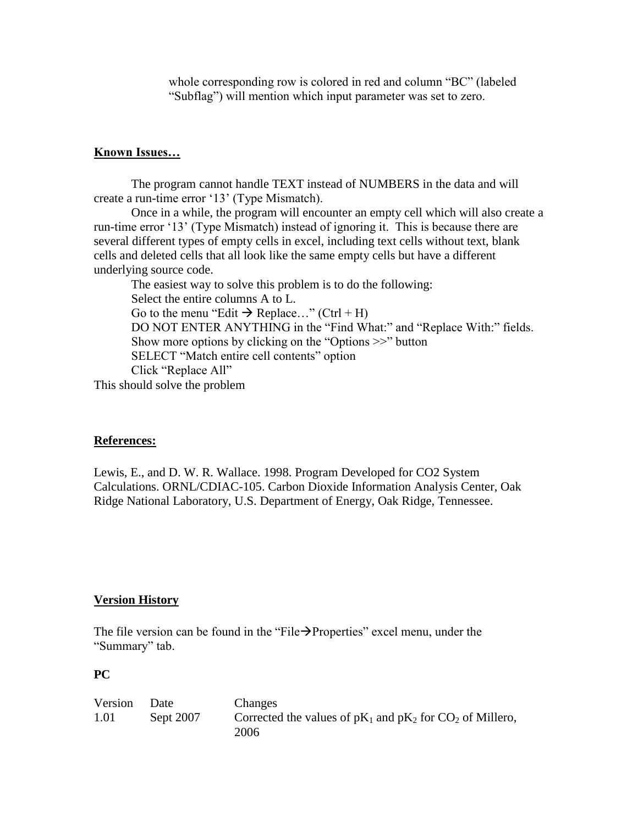whole corresponding row is colored in red and column "BC" (labeled "Subflag") will mention which input parameter was set to zero.

### <span id="page-3-0"></span>**Known Issues…**

The program cannot handle TEXT instead of NUMBERS in the data and will create a run-time error '13' (Type Mismatch).

Once in a while, the program will encounter an empty cell which will also create a run-time error '13' (Type Mismatch) instead of ignoring it. This is because there are several different types of empty cells in excel, including text cells without text, blank cells and deleted cells that all look like the same empty cells but have a different underlying source code.

The easiest way to solve this problem is to do the following: Select the entire columns A to L. Go to the menu "Edit  $\rightarrow$  Replace..." (Ctrl + H) DO NOT ENTER ANYTHING in the "Find What:" and "Replace With:" fields. Show more options by clicking on the "Options >>" button SELECT "Match entire cell contents" option Click "Replace All"

This should solve the problem

#### <span id="page-3-1"></span>**References:**

Lewis, E., and D. W. R. Wallace. 1998. Program Developed for CO2 System Calculations. ORNL/CDIAC-105. Carbon Dioxide Information Analysis Center, Oak Ridge National Laboratory, U.S. Department of Energy, Oak Ridge, Tennessee.

#### **Version History**

The file version can be found in the "File $\rightarrow$ Properties" excel menu, under the "Summary" tab.

#### **PC**

| Version | Date      | Changes                                                          |
|---------|-----------|------------------------------------------------------------------|
| 1.01    | Sept 2007 | Corrected the values of $pK_1$ and $pK_2$ for $CO_2$ of Millero, |
|         |           | 2006                                                             |